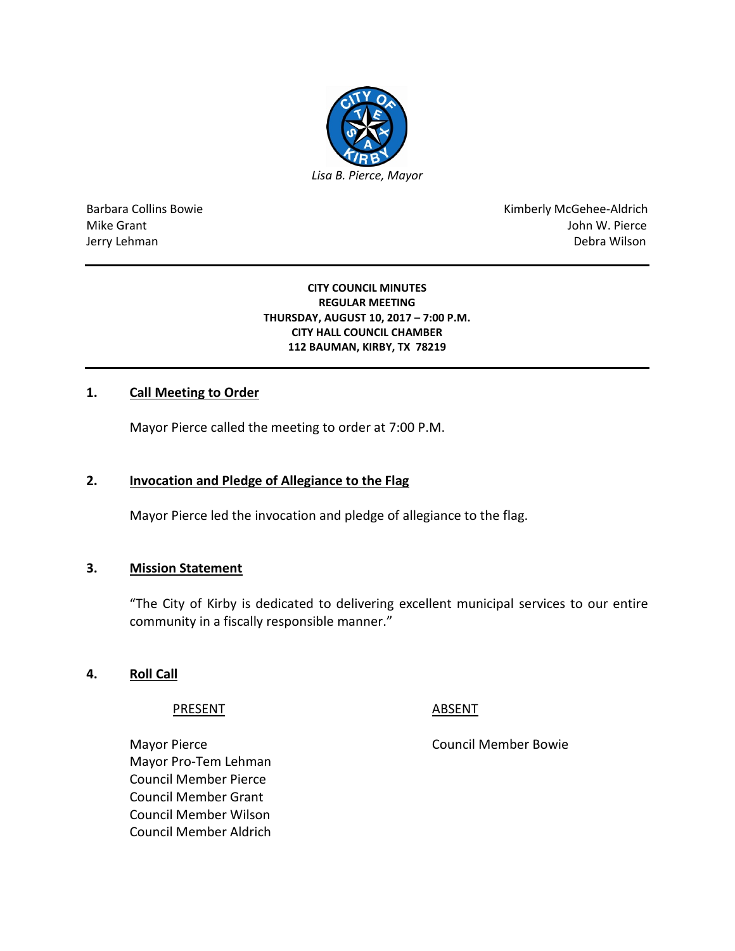

Barbara Collins Bowie **Kimberly McGehee-Aldrich** Mike Grant John W. Pierce Jerry Lehman Debra Wilson (2008) and the state of the state of the state of the state of the state of the state of the state of the state of the state of the state of the state of the state of the state of the state of the

#### **CITY COUNCIL MINUTES REGULAR MEETING THURSDAY, AUGUST 10, 2017 – 7:00 P.M. CITY HALL COUNCIL CHAMBER 112 BAUMAN, KIRBY, TX 78219**

## **1. Call Meeting to Order**

Mayor Pierce called the meeting to order at 7:00 P.M.

#### **2. Invocation and Pledge of Allegiance to the Flag**

Mayor Pierce led the invocation and pledge of allegiance to the flag.

#### **3. Mission Statement**

"The City of Kirby is dedicated to delivering excellent municipal services to our entire community in a fiscally responsible manner."

#### **4. Roll Call**

PRESENT ABSENT

Mayor Pierce **Council Member Bowie** Council Member Bowie Mayor Pro-Tem Lehman Council Member Pierce Council Member Grant Council Member Wilson Council Member Aldrich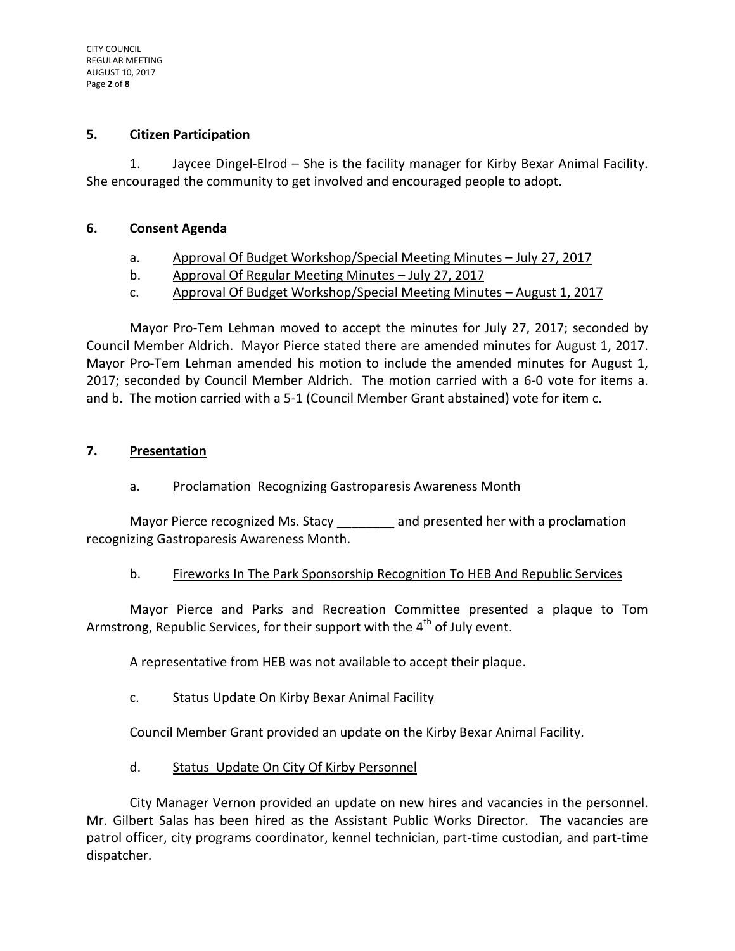#### **5. Citizen Participation**

1. Jaycee Dingel-Elrod – She is the facility manager for Kirby Bexar Animal Facility. She encouraged the community to get involved and encouraged people to adopt.

### **6. Consent Agenda**

- a. Approval Of Budget Workshop/Special Meeting Minutes July 27, 2017
- b. Approval Of Regular Meeting Minutes July 27, 2017
- c. Approval Of Budget Workshop/Special Meeting Minutes August 1, 2017

Mayor Pro-Tem Lehman moved to accept the minutes for July 27, 2017; seconded by Council Member Aldrich. Mayor Pierce stated there are amended minutes for August 1, 2017. Mayor Pro-Tem Lehman amended his motion to include the amended minutes for August 1, 2017; seconded by Council Member Aldrich. The motion carried with a 6-0 vote for items a. and b. The motion carried with a 5-1 (Council Member Grant abstained) vote for item c.

## **7. Presentation**

a. Proclamation Recognizing Gastroparesis Awareness Month

Mayor Pierce recognized Ms. Stacy and presented her with a proclamation recognizing Gastroparesis Awareness Month.

# b. Fireworks In The Park Sponsorship Recognition To HEB And Republic Services

Mayor Pierce and Parks and Recreation Committee presented a plaque to Tom Armstrong, Republic Services, for their support with the  $4<sup>th</sup>$  of July event.

A representative from HEB was not available to accept their plaque.

c. Status Update On Kirby Bexar Animal Facility

Council Member Grant provided an update on the Kirby Bexar Animal Facility.

d. Status Update On City Of Kirby Personnel

City Manager Vernon provided an update on new hires and vacancies in the personnel. Mr. Gilbert Salas has been hired as the Assistant Public Works Director. The vacancies are patrol officer, city programs coordinator, kennel technician, part-time custodian, and part-time dispatcher.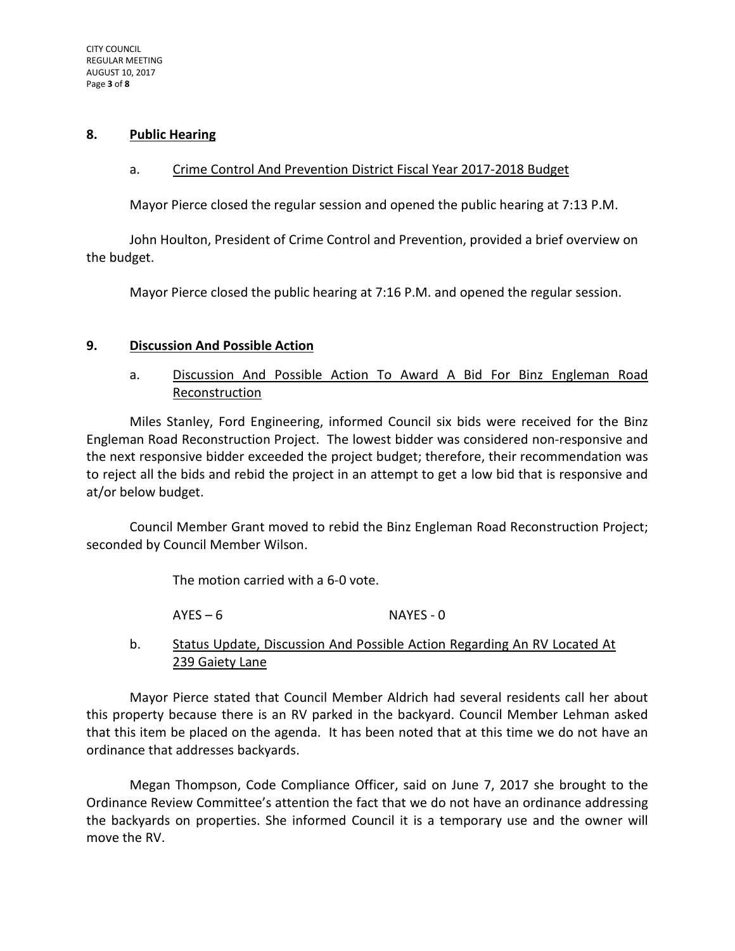#### **8. Public Hearing**

#### a. Crime Control And Prevention District Fiscal Year 2017-2018 Budget

Mayor Pierce closed the regular session and opened the public hearing at 7:13 P.M.

John Houlton, President of Crime Control and Prevention, provided a brief overview on the budget.

Mayor Pierce closed the public hearing at 7:16 P.M. and opened the regular session.

## **9. Discussion And Possible Action**

a. Discussion And Possible Action To Award A Bid For Binz Engleman Road Reconstruction

Miles Stanley, Ford Engineering, informed Council six bids were received for the Binz Engleman Road Reconstruction Project. The lowest bidder was considered non-responsive and the next responsive bidder exceeded the project budget; therefore, their recommendation was to reject all the bids and rebid the project in an attempt to get a low bid that is responsive and at/or below budget.

Council Member Grant moved to rebid the Binz Engleman Road Reconstruction Project; seconded by Council Member Wilson.

The motion carried with a 6-0 vote.

AYES – 6 NAYES - 0

b. Status Update, Discussion And Possible Action Regarding An RV Located At 239 Gaiety Lane

Mayor Pierce stated that Council Member Aldrich had several residents call her about this property because there is an RV parked in the backyard. Council Member Lehman asked that this item be placed on the agenda. It has been noted that at this time we do not have an ordinance that addresses backyards.

Megan Thompson, Code Compliance Officer, said on June 7, 2017 she brought to the Ordinance Review Committee's attention the fact that we do not have an ordinance addressing the backyards on properties. She informed Council it is a temporary use and the owner will move the RV.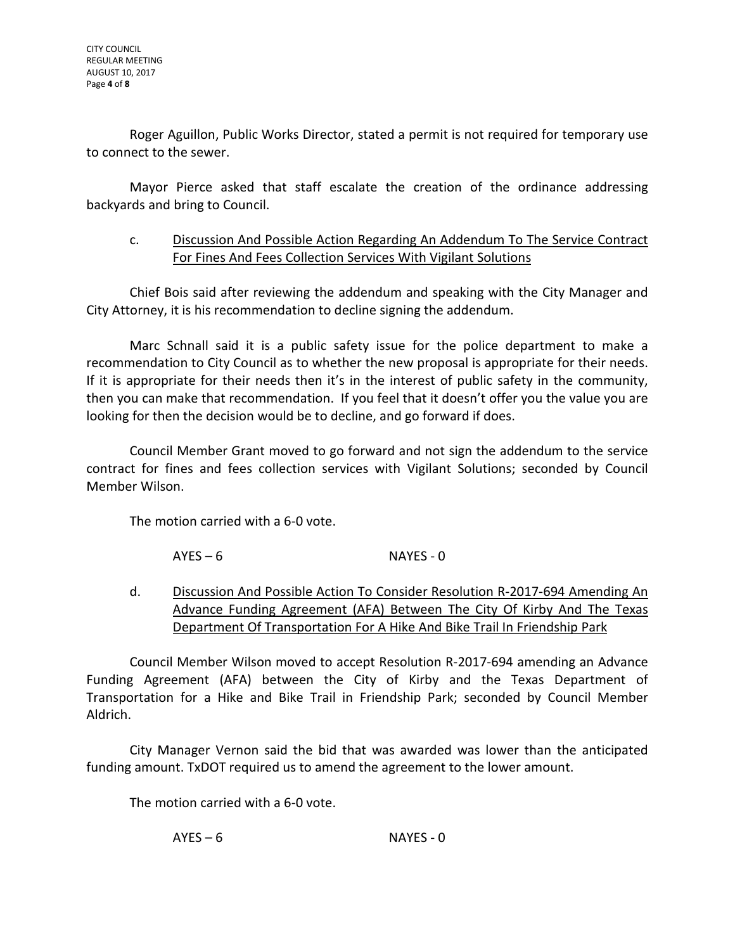Roger Aguillon, Public Works Director, stated a permit is not required for temporary use to connect to the sewer.

Mayor Pierce asked that staff escalate the creation of the ordinance addressing backyards and bring to Council.

## c. Discussion And Possible Action Regarding An Addendum To The Service Contract For Fines And Fees Collection Services With Vigilant Solutions

Chief Bois said after reviewing the addendum and speaking with the City Manager and City Attorney, it is his recommendation to decline signing the addendum.

Marc Schnall said it is a public safety issue for the police department to make a recommendation to City Council as to whether the new proposal is appropriate for their needs. If it is appropriate for their needs then it's in the interest of public safety in the community, then you can make that recommendation. If you feel that it doesn't offer you the value you are looking for then the decision would be to decline, and go forward if does.

Council Member Grant moved to go forward and not sign the addendum to the service contract for fines and fees collection services with Vigilant Solutions; seconded by Council Member Wilson.

The motion carried with a 6-0 vote.

AYES – 6 NAYES - 0

d. Discussion And Possible Action To Consider Resolution R-2017-694 Amending An Advance Funding Agreement (AFA) Between The City Of Kirby And The Texas Department Of Transportation For A Hike And Bike Trail In Friendship Park

Council Member Wilson moved to accept Resolution R-2017-694 amending an Advance Funding Agreement (AFA) between the City of Kirby and the Texas Department of Transportation for a Hike and Bike Trail in Friendship Park; seconded by Council Member Aldrich.

City Manager Vernon said the bid that was awarded was lower than the anticipated funding amount. TxDOT required us to amend the agreement to the lower amount.

The motion carried with a 6-0 vote.

AYES – 6 NAYES - 0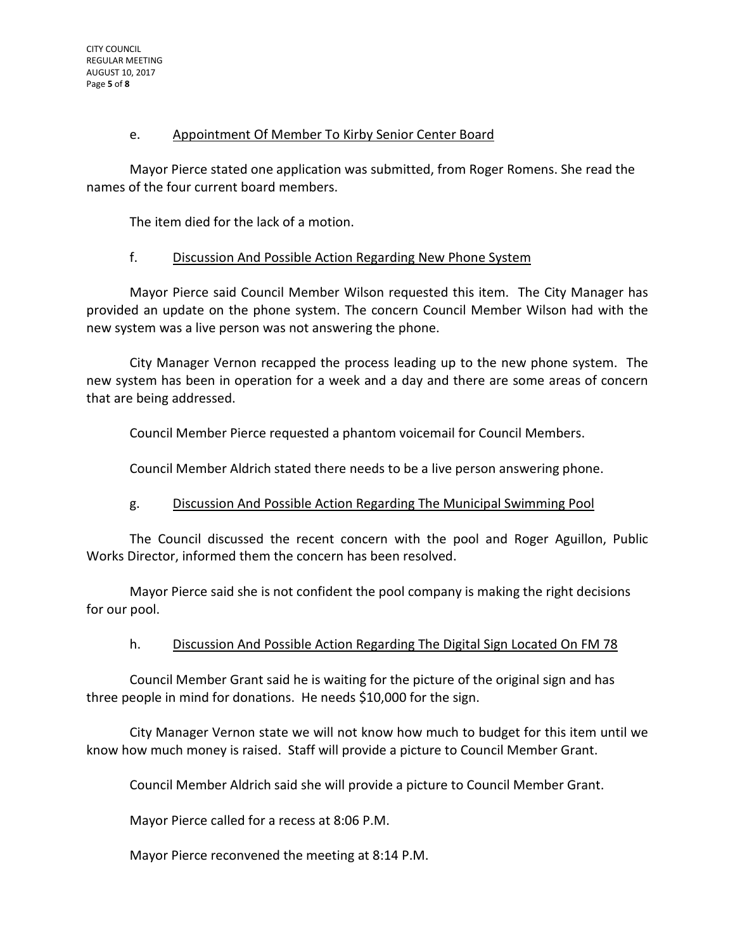### e. Appointment Of Member To Kirby Senior Center Board

Mayor Pierce stated one application was submitted, from Roger Romens. She read the names of the four current board members.

The item died for the lack of a motion.

## f. Discussion And Possible Action Regarding New Phone System

Mayor Pierce said Council Member Wilson requested this item. The City Manager has provided an update on the phone system. The concern Council Member Wilson had with the new system was a live person was not answering the phone.

City Manager Vernon recapped the process leading up to the new phone system. The new system has been in operation for a week and a day and there are some areas of concern that are being addressed.

Council Member Pierce requested a phantom voicemail for Council Members.

Council Member Aldrich stated there needs to be a live person answering phone.

# g. Discussion And Possible Action Regarding The Municipal Swimming Pool

The Council discussed the recent concern with the pool and Roger Aguillon, Public Works Director, informed them the concern has been resolved.

Mayor Pierce said she is not confident the pool company is making the right decisions for our pool.

#### h. Discussion And Possible Action Regarding The Digital Sign Located On FM 78

Council Member Grant said he is waiting for the picture of the original sign and has three people in mind for donations. He needs \$10,000 for the sign.

City Manager Vernon state we will not know how much to budget for this item until we know how much money is raised. Staff will provide a picture to Council Member Grant.

Council Member Aldrich said she will provide a picture to Council Member Grant.

Mayor Pierce called for a recess at 8:06 P.M.

Mayor Pierce reconvened the meeting at 8:14 P.M.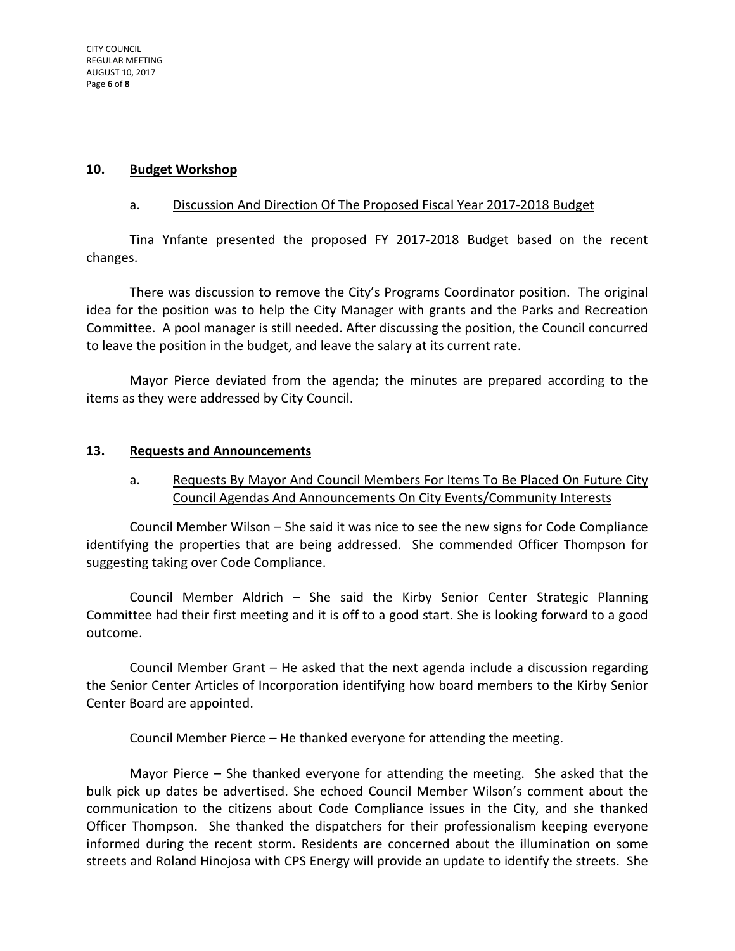## **10. Budget Workshop**

## a. Discussion And Direction Of The Proposed Fiscal Year 2017-2018 Budget

Tina Ynfante presented the proposed FY 2017-2018 Budget based on the recent changes.

There was discussion to remove the City's Programs Coordinator position. The original idea for the position was to help the City Manager with grants and the Parks and Recreation Committee. A pool manager is still needed. After discussing the position, the Council concurred to leave the position in the budget, and leave the salary at its current rate.

Mayor Pierce deviated from the agenda; the minutes are prepared according to the items as they were addressed by City Council.

#### **13. Requests and Announcements**

# a. Requests By Mayor And Council Members For Items To Be Placed On Future City Council Agendas And Announcements On City Events/Community Interests

Council Member Wilson – She said it was nice to see the new signs for Code Compliance identifying the properties that are being addressed. She commended Officer Thompson for suggesting taking over Code Compliance.

Council Member Aldrich – She said the Kirby Senior Center Strategic Planning Committee had their first meeting and it is off to a good start. She is looking forward to a good outcome.

Council Member Grant – He asked that the next agenda include a discussion regarding the Senior Center Articles of Incorporation identifying how board members to the Kirby Senior Center Board are appointed.

Council Member Pierce – He thanked everyone for attending the meeting.

Mayor Pierce – She thanked everyone for attending the meeting. She asked that the bulk pick up dates be advertised. She echoed Council Member Wilson's comment about the communication to the citizens about Code Compliance issues in the City, and she thanked Officer Thompson. She thanked the dispatchers for their professionalism keeping everyone informed during the recent storm. Residents are concerned about the illumination on some streets and Roland Hinojosa with CPS Energy will provide an update to identify the streets. She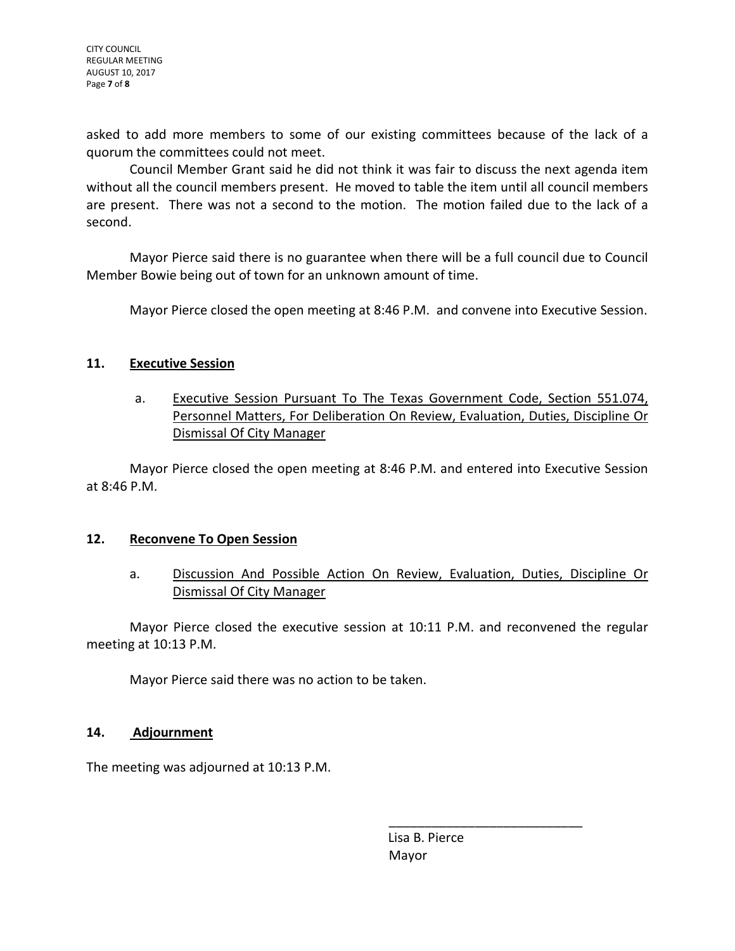asked to add more members to some of our existing committees because of the lack of a quorum the committees could not meet.

Council Member Grant said he did not think it was fair to discuss the next agenda item without all the council members present. He moved to table the item until all council members are present. There was not a second to the motion. The motion failed due to the lack of a second.

Mayor Pierce said there is no guarantee when there will be a full council due to Council Member Bowie being out of town for an unknown amount of time.

Mayor Pierce closed the open meeting at 8:46 P.M. and convene into Executive Session.

## **11. Executive Session**

a. Executive Session Pursuant To The Texas Government Code, Section 551.074, Personnel Matters, For Deliberation On Review, Evaluation, Duties, Discipline Or Dismissal Of City Manager

Mayor Pierce closed the open meeting at 8:46 P.M. and entered into Executive Session at 8:46 P.M.

#### **12. Reconvene To Open Session**

a. Discussion And Possible Action On Review, Evaluation, Duties, Discipline Or Dismissal Of City Manager

Mayor Pierce closed the executive session at 10:11 P.M. and reconvened the regular meeting at 10:13 P.M.

Mayor Pierce said there was no action to be taken.

# **14. Adjournment**

The meeting was adjourned at 10:13 P.M.

 Lisa B. Pierce Mayor

\_\_\_\_\_\_\_\_\_\_\_\_\_\_\_\_\_\_\_\_\_\_\_\_\_\_\_